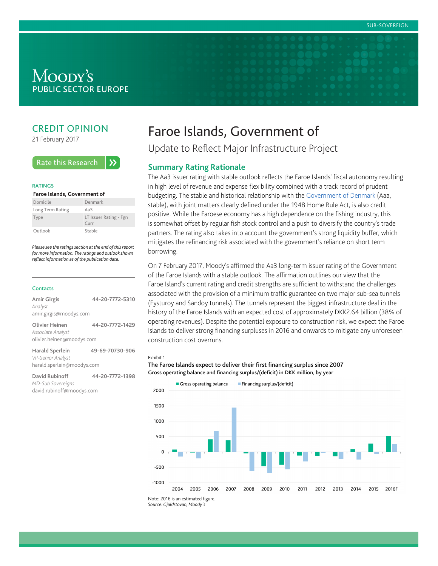# Moody's **PUBLIC SECTOR EUROPE**

# CREDIT OPINION

21 February 2017

#### **Rate this Research**  $\lambda$

#### **RATINGS**

#### **Faroe Islands, Government of**

| Domicile         | Denmark                                          |
|------------------|--------------------------------------------------|
| Long Term Rating | Aa3                                              |
| Type             | LT Issuer Rating - Fgn<br>$C$ <sub>III</sub> $r$ |
| Outlook          | Stable                                           |

*Please see the ratings section at the end of this report for more information. The ratings and outlook shown reflect information as of the publication date.*

#### **Contacts**

| <b>Amir Girgis</b><br>Analyst<br>amir.girgis@moodys.com            | 44-20-7772-5310 |
|--------------------------------------------------------------------|-----------------|
| Olivier Heinen<br>Associate Analyst<br>olivier.heinen@moodys.com   | 44-20-7772-1429 |
| Harald Sperlein<br>VP-Senior Analyst<br>harald.sperlein@moodys.com | 49-69-70730-906 |

**David Rubinoff 44-20-7772-1398** *MD-Sub Sovereigns* david.rubinoff@moodys.com

# Faroe Islands, Government of

Update to Reflect Major Infrastructure Project

### **Summary Rating Rationale**

The Aa3 issuer rating with stable outlook reflects the Faroe Islands' fiscal autonomy resulting in high level of revenue and expense flexibility combined with a track record of prudent budgeting. The stable and historical relationship with the [Government of Denmark](https://www.moodys.com/credit-ratings/Denmark-Government-of-credit-rating-230700) (Aaa, stable), with joint matters clearly defined under the 1948 Home Rule Act, is also credit positive. While the Faroese economy has a high dependence on the fishing industry, this is somewhat offset by regular fish stock control and a push to diversify the country's trade partners. The rating also takes into account the government's strong liquidity buffer, which mitigates the refinancing risk associated with the government's reliance on short term borrowing.

On 7 February 2017, Moody's affirmed the Aa3 long-term issuer rating of the Government of the Faroe Islands with a stable outlook. The affirmation outlines our view that the Faroe Island's current rating and credit strengths are sufficient to withstand the challenges associated with the provision of a minimum traffic guarantee on two major sub-sea tunnels (Eysturoy and Sandoy tunnels). The tunnels represent the biggest infrastructure deal in the history of the Faroe Islands with an expected cost of approximately DKK2.64 billion (38% of operating revenues). Despite the potential exposure to construction risk, we expect the Faroe Islands to deliver strong financing surpluses in 2016 and onwards to mitigate any unforeseen construction cost overruns.

#### Exhibit 1





*Source: Gjaldstovan, Moody's*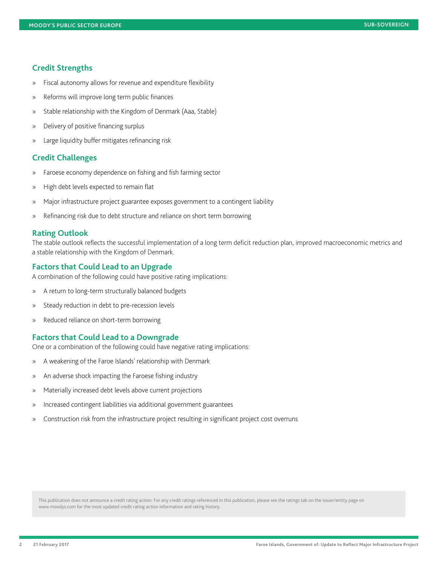## **Credit Strengths**

- » Fiscal autonomy allows for revenue and expenditure flexibility
- » Reforms will improve long term public finances
- » Stable relationship with the Kingdom of Denmark (Aaa, Stable)
- » Delivery of positive financing surplus
- » Large liquidity buffer mitigates refinancing risk

# **Credit Challenges**

- » Faroese economy dependence on fishing and fish farming sector
- » High debt levels expected to remain flat
- » Major infrastructure project guarantee exposes government to a contingent liability
- » Refinancing risk due to debt structure and reliance on short term borrowing

### **Rating Outlook**

The stable outlook reflects the successful implementation of a long term deficit reduction plan, improved macroeconomic metrics and a stable relationship with the Kingdom of Denmark.

# **Factors that Could Lead to an Upgrade**

A combination of the following could have positive rating implications:

- » A return to long-term structurally balanced budgets
- » Steady reduction in debt to pre-recession levels
- » Reduced reliance on short-term borrowing

### **Factors that Could Lead to a Downgrade**

One or a combination of the following could have negative rating implications:

- » A weakening of the Faroe Islands' relationship with Denmark
- » An adverse shock impacting the Faroese fishing industry
- » Materially increased debt levels above current projections
- » Increased contingent liabilities via additional government guarantees
- » Construction risk from the infrastructure project resulting in significant project cost overruns

This publication does not announce a credit rating action. For any credit ratings referenced in this publication, please see the ratings tab on the issuer/entity page on www.moodys.com for the most updated credit rating action information and rating history.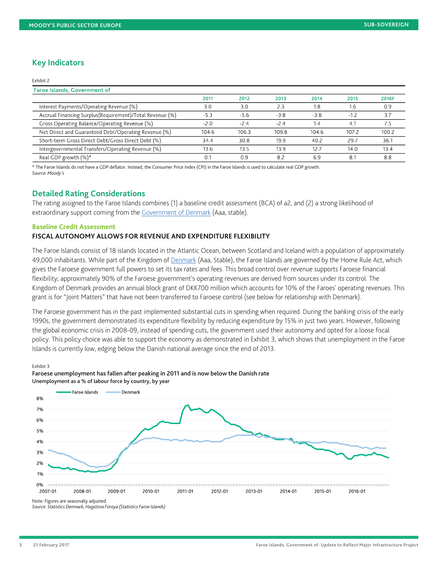# **Key Indicators**

#### Exhibit 2

| <b>Faroe Islands, Government of</b>                       |        |        |        |        |        |       |
|-----------------------------------------------------------|--------|--------|--------|--------|--------|-------|
|                                                           | 2011   | 2012   | 2013   | 2014   | 2015   | 2016F |
| Interest Payments/Operating Revenue (%)                   | 3.0    | 3.0    | 2.3    | 1.8    | 1.6    | 0.9   |
| Accrual Financing Surplus (Requirement)/Total Revenue (%) | $-5.3$ | $-5.6$ | $-3.8$ | $-3.8$ | $-1.2$ | 3.7   |
| Gross Operating Balance/Operating Revenue (%)             | $-2.0$ | $-2.4$ | $-2.4$ | 1.4    | 4.1    | 7.5   |
| Net Direct and Guaranteed Debt/Operating Revenue (%)      | 104.6  | 106.3  | 109.8  | 104.6  | 107.2  | 100.2 |
| Short-term Gross Direct Debt/Gross Direct Debt (%)        | 34.4   | 30.8   | 19.9   | 40.2   | 29.7   | 36.1  |
| Intergovernmental Transfers/Operating Revenue (%)         | 13.6   | 13.5   | 13.9   | 12.7   | 14.0   | 13.4  |
| Real GDP growth (%)*                                      | 0.1    | 0.9    | 8.2    | 6.9    | 8.1    | 8.8   |

\* The Faroe Islands do not have a GDP deflator. Instead, the Consumer Price Index (CPI) in the Faroe Islands is used to calculate real GDP growth. *Source: Moody's*

# **Detailed Rating Considerations**

The rating assigned to the Faroe Islands combines (1) a baseline credit assessment (BCA) of a2, and (2) a strong likelihood of extraordinary support coming from the [Government of Denmark](https://www.moodys.com/credit-ratings/Denmark-Government-of-credit-rating-230700) (Aaa, stable).

### **Baseline Credit Assessment**

## **FISCAL AUTONOMY ALLOWS FOR REVENUE AND EXPENDITURE FLEXIBILITY**

The Faroe Islands consist of 18 islands located in the Atlantic Ocean, between Scotland and Iceland with a population of approximately 49,000 inhabitants. While part of the Kingdom of [Denmark](https://www.moodys.com/credit-ratings/Denmark-Government-of-credit-rating-230700) (Aaa, Stable), the Faroe Islands are governed by the Home Rule Act, which gives the Faroese government full powers to set its tax rates and fees. This broad control over revenue supports Faroese financial flexibility; approximately 90% of the Faroese government's operating revenues are derived from sources under its control. The Kingdom of Denmark provides an annual block grant of DKK700 million which accounts for 10% of the Faroes' operating revenues. This grant is for "Joint Matters" that have not been transferred to Faroese control (see below for relationship with Denmark).

The Faroese government has in the past implemented substantial cuts in spending when required. During the banking crisis of the early 1990s, the government demonstrated its expenditure flexibility by reducing expenditure by 15% in just two years. However, following the global economic crisis in 2008-09, instead of spending cuts, the government used their autonomy and opted for a loose fiscal policy. This policy choice was able to support the economy as demonstrated in Exhibit 3, which shows that unemployment in the Faroe Islands is currently low, edging below the Danish national average since the end of 2013.

#### Exhibit 3

Faroese unemployment has fallen after peaking in 2011 and is now below the Danish rate Unemployment as a % of labour force by country, by year



Note: Figures are seasonally adjusted.

*Source: Statistics Denmark, Hagstova Foroya (Statistics Faroe Islands)*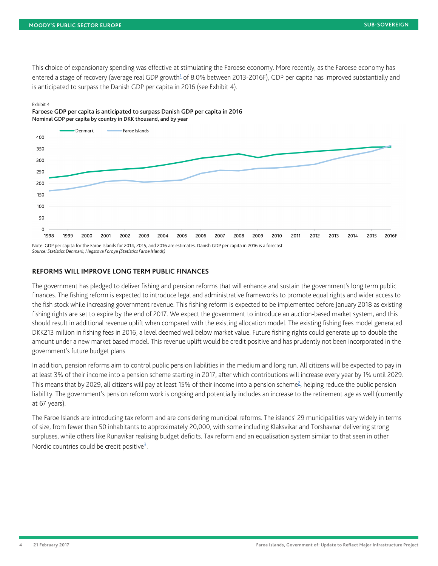<span id="page-3-0"></span>This choice of expansionary spending was effective at stimulating the Faroese economy. More recently, as the Faroese economy has entered a stage of recovery (average real GDP growth<sup>[1](#page-9-0)</sup> of 8.0% between 2013-2016F), GDP per capita has improved substantially and is anticipated to surpass the Danish GDP per capita in 2016 (see Exhibit 4).

#### Exhibit 4





### **REFORMS WILL IMPROVE LONG TERM PUBLIC FINANCES**

The government has pledged to deliver fishing and pension reforms that will enhance and sustain the government's long term public finances. The fishing reform is expected to introduce legal and administrative frameworks to promote equal rights and wider access to the fish stock while increasing government revenue. This fishing reform is expected to be implemented before January 2018 as existing fishing rights are set to expire by the end of 2017. We expect the government to introduce an auction-based market system, and this should result in additional revenue uplift when compared with the existing allocation model. The existing fishing fees model generated DKK213 million in fishing fees in 2016, a level deemed well below market value. Future fishing rights could generate up to double the amount under a new market based model. This revenue uplift would be credit positive and has prudently not been incorporated in the government's future budget plans.

<span id="page-3-1"></span>In addition, pension reforms aim to control public pension liabilities in the medium and long run. All citizens will be expected to pay in at least 3% of their income into a pension scheme starting in 2017, after which contributions will increase every year by 1% until 2029. This means that by [2](#page-9-1)029, all citizens will pay at least 15% of their income into a pension scheme<sup>2</sup>, helping reduce the public pension liability. The government's pension reform work is ongoing and potentially includes an increase to the retirement age as well (currently at 67 years).

<span id="page-3-2"></span>The Faroe Islands are introducing tax reform and are considering municipal reforms. The islands' 29 municipalities vary widely in terms of size, from fewer than 50 inhabitants to approximately 20,000, with some including Klaksvikar and Torshavnar delivering strong surpluses, while others like Runavikar realising budget deficits. Tax reform and an equalisation system similar to that seen in other Nordic countries could be credit positive<sup>[3](#page-9-2)</sup>.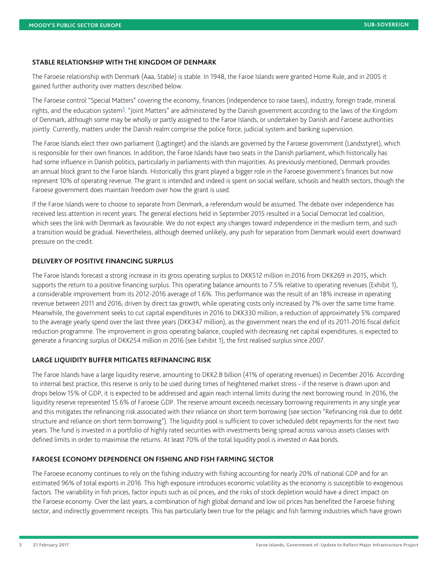### **STABLE RELATIONSHIP WITH THE KINGDOM OF DENMARK**

The Faroese relationship with Denmark (Aaa, Stable) is stable. In 1948, the Faroe Islands were granted Home Rule, and in 2005 it gained further authority over matters described below.

<span id="page-4-0"></span>The Faroese control "Special Matters" covering the economy, finances (independence to raise taxes), industry, foreign trade, mineral rights, and the education system<sup>[4](#page-9-3)</sup>. "Joint Matters" are administered by the Danish government according to the laws of the Kingdom of Denmark, although some may be wholly or partly assigned to the Faroe Islands, or undertaken by Danish and Faroese authorities jointly. Currently, matters under the Danish realm comprise the police force, judicial system and banking supervision.

The Faroe Islands elect their own parliament (Lagtinget) and the islands are governed by the Faroese government (Landsstyret), which is responsible for their own finances. In addition, the Faroe Islands have two seats in the Danish parliament, which historically has had some influence in Danish politics, particularly in parliaments with thin majorities. As previously mentioned, Denmark provides an annual block grant to the Faroe Islands. Historically this grant played a bigger role in the Faroese government's finances but now represent 10% of operating revenue. The grant is intended and indeed is spent on social welfare, schools and health sectors, though the Faroese government does maintain freedom over how the grant is used.

If the Faroe Islands were to choose to separate from Denmark, a referendum would be assumed. The debate over independence has received less attention in recent years. The general elections held in September 2015 resulted in a Social Democrat led coalition, which sees the link with Denmark as favourable. We do not expect any changes toward independence in the medium term, and such a transition would be gradual. Nevertheless, although deemed unlikely, any push for separation from Denmark would exert downward pressure on the credit.

### **DELIVERY OF POSITIVE FINANCING SURPLUS**

The Faroe Islands forecast a strong increase in its gross operating surplus to DKK512 million in 2016 from DKK269 in 2015, which supports the return to a positive financing surplus. This operating balance amounts to 7.5% relative to operating revenues (Exhibit 1), a considerable improvement from its 2012-2016 average of 1.6%. This performance was the result of an 18% increase in operating revenue between 2011 and 2016, driven by direct tax growth, while operating costs only increased by 7% over the same time frame. Meanwhile, the government seeks to cut capital expenditures in 2016 to DKK330 million, a reduction of approximately 5% compared to the average yearly spend over the last three years (DKK347 million), as the government nears the end of its 2011-2016 fiscal deficit reduction programme. The improvement in gross operating balance, coupled with decreasing net capital expenditures, is expected to generate a financing surplus of DKK254 million in 2016 (see Exhibit 1), the first realised surplus since 2007.

### **LARGE LIQUIDITY BUFFER MITIGATES REFINANCING RISK**

The Faroe Islands have a large liquidity reserve, amounting to DKK2.8 billion (41% of operating revenues) in December 2016. According to internal best practice, this reserve is only to be used during times of heightened market stress - if the reserve is drawn upon and drops below 15% of GDP, it is expected to be addressed and again reach internal limits during the next borrowing round. In 2016, the liquidity reserve represented 15.6% of Faroese GDP. The reserve amount exceeds necessary borrowing requirements in any single year and this mitigates the refinancing risk associated with their reliance on short term borrowing (see section "Refinancing risk due to debt structure and reliance on short term borrowing"). The liquidity pool is sufficient to cover scheduled debt repayments for the next two years. The fund is invested in a portfolio of highly rated securities with investments being spread across various assets classes with defined limits in order to maximise the returns. At least 70% of the total liquidity pool is invested in Aaa bonds.

# **FAROESE ECONOMY DEPENDENCE ON FISHING AND FISH FARMING SECTOR**

The Faroese economy continues to rely on the fishing industry with fishing accounting for nearly 20% of national GDP and for an estimated 96% of total exports in 2016. This high exposure introduces economic volatility as the economy is susceptible to exogenous factors. The variability in fish prices, factor inputs such as oil prices, and the risks of stock depletion would have a direct impact on the Faroese economy. Over the last years, a combination of high global demand and low oil prices has benefited the Faroese fishing sector, and indirectly government receipts. This has particularly been true for the pelagic and fish farming industries which have grown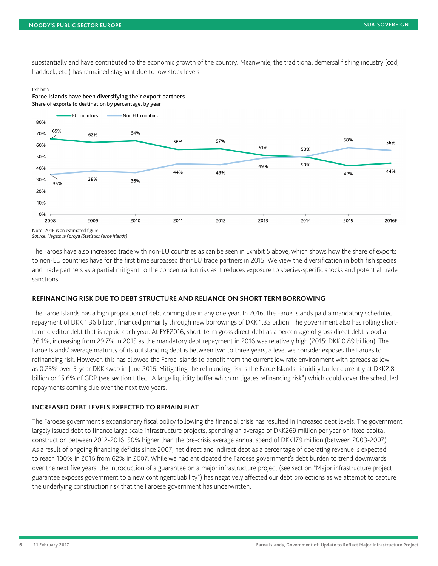substantially and have contributed to the economic growth of the country. Meanwhile, the traditional demersal fishing industry (cod, haddock, etc.) has remained stagnant due to low stock levels.

#### Exhibit 5

Faroe Islands have been diversifying their export partners Share of exports to destination by percentage, by year



*Source: Hagstova Foroya (Statistics Faroe Islands)*

The Faroes have also increased trade with non-EU countries as can be seen in Exhibit 5 above, which shows how the share of exports to non-EU countries have for the first time surpassed their EU trade partners in 2015. We view the diversification in both fish species and trade partners as a partial mitigant to the concentration risk as it reduces exposure to species-specific shocks and potential trade sanctions.

# **REFINANCING RISK DUE TO DEBT STRUCTURE AND RELIANCE ON SHORT TERM BORROWING**

The Faroe Islands has a high proportion of debt coming due in any one year. In 2016, the Faroe Islands paid a mandatory scheduled repayment of DKK 1.36 billion, financed primarily through new borrowings of DKK 1.35 billion. The government also has rolling shortterm creditor debt that is repaid each year. At FYE2016, short-term gross direct debt as a percentage of gross direct debt stood at 36.1%, increasing from 29.7% in 2015 as the mandatory debt repayment in 2016 was relatively high (2015: DKK 0.89 billion). The Faroe Islands' average maturity of its outstanding debt is between two to three years, a level we consider exposes the Faroes to refinancing risk. However, this has allowed the Faroe Islands to benefit from the current low rate environment with spreads as low as 0.25% over 5-year DKK swap in June 2016. Mitigating the refinancing risk is the Faroe Islands' liquidity buffer currently at DKK2.8 billion or 15.6% of GDP (see section titled "A large liquidity buffer which mitigates refinancing risk") which could cover the scheduled repayments coming due over the next two years.

### **INCREASED DEBT LEVELS EXPECTED TO REMAIN FLAT**

The Faroese government's expansionary fiscal policy following the financial crisis has resulted in increased debt levels. The government largely issued debt to finance large scale infrastructure projects, spending an average of DKK269 million per year on fixed capital construction between 2012-2016, 50% higher than the pre-crisis average annual spend of DKK179 million (between 2003-2007). As a result of ongoing financing deficits since 2007, net direct and indirect debt as a percentage of operating revenue is expected to reach 100% in 2016 from 62% in 2007. While we had anticipated the Faroese government's debt burden to trend downwards over the next five years, the introduction of a guarantee on a major infrastructure project (see section "Major infrastructure project guarantee exposes government to a new contingent liability") has negatively affected our debt projections as we attempt to capture the underlying construction risk that the Faroese government has underwritten.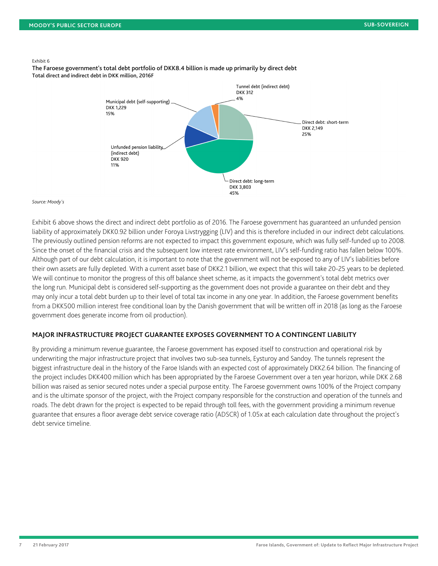#### Exhibit 6

The Faroese government's total debt portfolio of DKK8.4 billion is made up primarily by direct debt Total direct and indirect debt in DKK million, 2016F



#### *Source: Moody's*

Exhibit 6 above shows the direct and indirect debt portfolio as of 2016. The Faroese government has guaranteed an unfunded pension liability of approximately DKK0.92 billion under Foroya Livstrygging (LIV) and this is therefore included in our indirect debt calculations. The previously outlined pension reforms are not expected to impact this government exposure, which was fully self-funded up to 2008. Since the onset of the financial crisis and the subsequent low interest rate environment, LIV's self-funding ratio has fallen below 100%. Although part of our debt calculation, it is important to note that the government will not be exposed to any of LIV's liabilities before their own assets are fully depleted. With a current asset base of DKK2.1 billion, we expect that this will take 20-25 years to be depleted. We will continue to monitor the progress of this off balance sheet scheme, as it impacts the government's total debt metrics over the long run. Municipal debt is considered self-supporting as the government does not provide a guarantee on their debt and they may only incur a total debt burden up to their level of total tax income in any one year. In addition, the Faroese government benefits from a DKK500 million interest free conditional loan by the Danish government that will be written off in 2018 (as long as the Faroese government does generate income from oil production).

### **MAJOR INFRASTRUCTURE PROJECT GUARANTEE EXPOSES GOVERNMENT TO A CONTINGENT LIABILITY**

By providing a minimum revenue guarantee, the Faroese government has exposed itself to construction and operational risk by underwriting the major infrastructure project that involves two sub-sea tunnels, Eysturoy and Sandoy. The tunnels represent the biggest infrastructure deal in the history of the Faroe Islands with an expected cost of approximately DKK2.64 billion. The financing of the project includes DKK400 million which has been appropriated by the Faroese Government over a ten year horizon, while DKK 2.68 billion was raised as senior secured notes under a special purpose entity. The Faroese government owns 100% of the Project company and is the ultimate sponsor of the project, with the Project company responsible for the construction and operation of the tunnels and roads. The debt drawn for the project is expected to be repaid through toll fees, with the government providing a minimum revenue guarantee that ensures a floor average debt service coverage ratio (ADSCR) of 1.05x at each calculation date throughout the project's debt service timeline.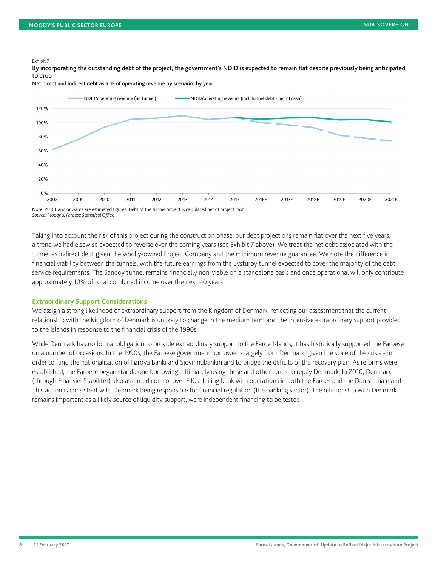#### Exhibit 7

By incorporating the outstanding debt of the project, the government's NDID is expected to remain flat despite previously being anticipated to drop

Net direct and indirect debt as a % of operating revenue by scenario, by year



*Source: Moody's, Faroese Statistical Office*

Taking into account the risk of this project during the construction phase, our debt projections remain flat over the next five years, a trend we had elsewise expected to reverse over the coming years (see Exhibit 7 above). We treat the net debt associated with the tunnel as indirect debt given the wholly-owned Project Company and the minimum revenue guarantee. We note the difference in financial viability between the tunnels, with the future earnings from the Eysturoy tunnel expected to cover the majority of the debt service requirements. The Sandoy tunnel remains financially non-viable on a standalone basis and once operational will only contribute approximately 10% of total combined income over the next 40 years.

### **Extraordinary Support Considerations**

We assign a strong likelihood of extraordinary support from the Kingdom of Denmark, reflecting our assessment that the current relationship with the Kingdom of Denmark is unlikely to change in the medium term and the intensive extraordinary support provided to the islands in response to the financial crisis of the 1990s.

While Denmark has no formal obligation to provide extraordinary support to the Faroe Islands, it has historically supported the Faroese on a number of occasions. In the 1990s, the Faroese government borrowed - largely from Denmark, given the scale of the crisis - in order to fund the nationalisation of Føroya Banki and Sjovinnubankin and to bridge the deficits of the recovery plan. As reforms were established, the Faroese began standalone borrowing, ultimately using these and other funds to repay Denmark. In 2010, Denmark (through Finansiel Stabilitet) also assumed control over EiK, a failing bank with operations in both the Faroes and the Danish mainland. This action is consistent with Denmark being responsible for financial regulation (the banking sector). The relationship with Denmark remains important as a likely source of liquidity support, were independent financing to be tested.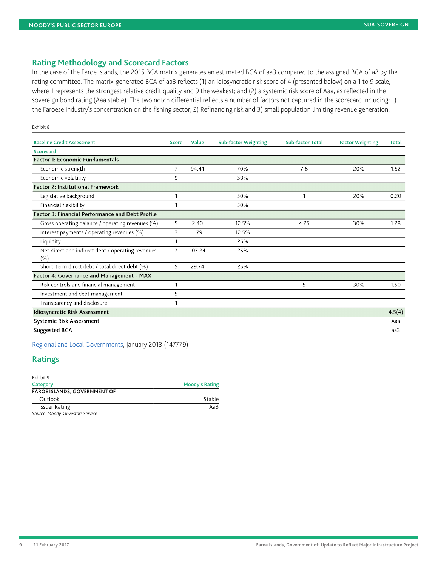# **Rating Methodology and Scorecard Factors**

In the case of the Faroe Islands, the 2015 BCA matrix generates an estimated BCA of aa3 compared to the assigned BCA of a2 by the rating committee. The matrix-generated BCA of aa3 reflects (1) an idiosyncratic risk score of 4 (presented below) on a 1 to 9 scale, where 1 represents the strongest relative credit quality and 9 the weakest; and (2) a systemic risk score of Aaa, as reflected in the sovereign bond rating (Aaa stable). The two notch differential reflects a number of factors not captured in the scorecard including: 1) the Faroese industry's concentration on the fishing sector; 2) Refinancing risk and 3) small population limiting revenue generation.

| <b>Baseline Credit Assessment</b>                        | <b>Score</b>   | Value  | <b>Sub-factor Weighting</b> | <b>Sub-factor Total</b> | <b>Factor Weighting</b> | <b>Total</b> |
|----------------------------------------------------------|----------------|--------|-----------------------------|-------------------------|-------------------------|--------------|
| <b>Scorecard</b>                                         |                |        |                             |                         |                         |              |
| <b>Factor 1: Economic Fundamentals</b>                   |                |        |                             |                         |                         |              |
| Economic strength                                        | $\overline{7}$ | 94.41  | 70%                         | 7.6                     | 20%                     | 1.52         |
| Economic volatility                                      | 9              |        | 30%                         |                         |                         |              |
| <b>Factor 2: Institutional Framework</b>                 |                |        |                             |                         |                         |              |
| Legislative background                                   |                |        | 50%                         | 1                       | 20%                     | 0.20         |
| Financial flexibility                                    |                |        | 50%                         |                         |                         |              |
| Factor 3: Financial Performance and Debt Profile         |                |        |                             |                         |                         |              |
| Gross operating balance / operating revenues (%)         | 5              | 2.40   | 12.5%                       | 4.25                    | 30%                     | 1.28         |
| Interest payments / operating revenues (%)               | 3              | 1.79   | 12.5%                       |                         |                         |              |
| Liquidity                                                |                |        | 25%                         |                         |                         |              |
| Net direct and indirect debt / operating revenues<br>(%) | 7              | 107.24 | 25%                         |                         |                         |              |
| Short-term direct debt / total direct debt (%)           | 5              | 29.74  | 25%                         |                         |                         |              |
| Factor 4: Governance and Management - MAX                |                |        |                             |                         |                         |              |
| Risk controls and financial management                   |                |        |                             | 5                       | 30%                     | 1.50         |
| Investment and debt management                           | 5              |        |                             |                         |                         |              |
| Transparency and disclosure                              |                |        |                             |                         |                         |              |
| <b>Idiosyncratic Risk Assessment</b>                     |                |        |                             |                         |                         | 4.5(4)       |
| <b>Systemic Risk Assessment</b>                          |                |        |                             |                         |                         | Aaa          |
| <b>Suggested BCA</b>                                     |                |        |                             |                         |                         | aa3          |

[Regional and Local Governments](https://www.moodys.com/researchdocumentcontentpage.aspx?docid=PBC_147779), January 2013 (147779)

# **Ratings**

Exhibit 8

| Exhibit 9                              |                       |  |  |
|----------------------------------------|-----------------------|--|--|
| Category                               | <b>Moody's Rating</b> |  |  |
| <b>FAROE ISLANDS, GOVERNMENT OF</b>    |                       |  |  |
| Outlook                                | Stable                |  |  |
| <b>Issuer Rating</b>                   | Aa3                   |  |  |
| Corresponded to the formation Complete |                       |  |  |

*Source: Moody's Investors Service*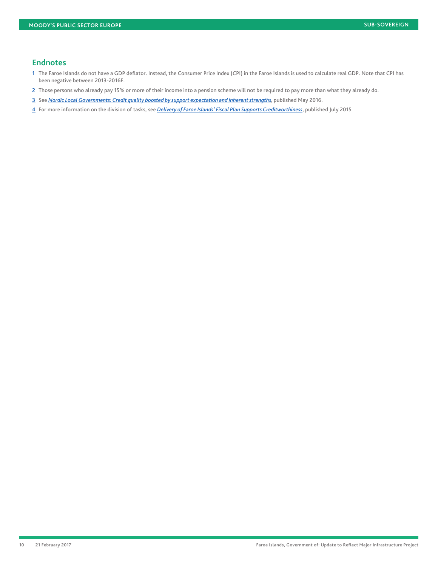### **Endnotes**

- <span id="page-9-0"></span>[1](#page-3-0) The Faroe Islands do not have a GDP deflator. Instead, the Consumer Price Index (CPI) in the Faroe Islands is used to calculate real GDP. Note that CPI has been negative between 2013-2016F.
- <span id="page-9-1"></span>[2](#page-3-1) Those persons who already pay 15% or more of their income into a pension scheme will not be required to pay more than what they already do.
- <span id="page-9-2"></span>[3](#page-3-2) See *[Nordic Local Governments: Credit quality boosted by support expectation and inherent strengths](https://www.moodys.com/researchdocumentcontentpage.aspx?docid=PBC_1028654),* published May 2016.
- <span id="page-9-3"></span>[4](#page-4-0) For more information on the division of tasks, see *[Delivery of Faroe Islands' Fiscal Plan Supports Creditworthiness](https://www.moodys.com/researchdocumentcontentpage.aspx?docid=PBC_1007947)*, published July 2015